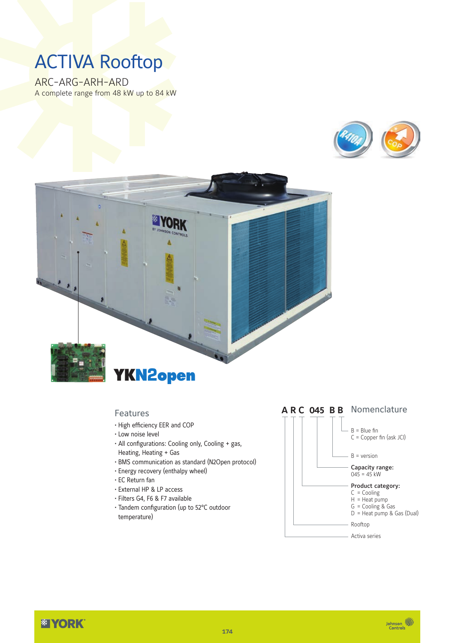# ACTIVA Rooftop

ARC-ARG-ARH-ARD A complete range from 48 kW up to 84 kW





#### Features

- High efficiency EER and COP
- Low noise level
- All configurations: Cooling only, Cooling + gas, Heating, Heating + Gas
- BMS communication as standard (N2Open protocol)
- Energy recovery (enthalpy wheel)
- EC Return fan
- External HP & LP access
- Filters G4, F6 & F7 available
- Tandem configuration (up to 52°C outdoor temperature)



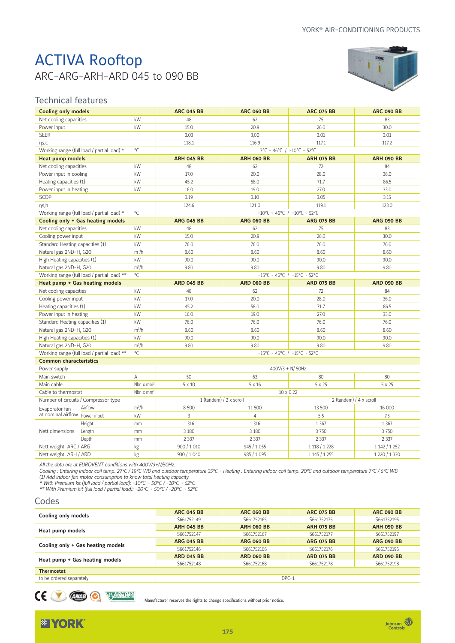# ACTIVA Rooftop ARC-ARG-ARH-ARD 045 to 090 BB



### Technical features

| <b>Cooling only models</b>                  |                                                      | <b>ARC 045 BB</b>       | <b>ARC 060 BB</b>                     | <b>ARC 075 BB</b>                               | <b>ARC 090 BB</b> |  |  |  |
|---------------------------------------------|------------------------------------------------------|-------------------------|---------------------------------------|-------------------------------------------------|-------------------|--|--|--|
| Net cooling capacities                      | kW                                                   | 48                      | 62                                    | 75                                              | 83                |  |  |  |
| Power input                                 | kW                                                   | 15.0                    | 20.9                                  | 26.0                                            | 30.0              |  |  |  |
| <b>SEER</b>                                 |                                                      | 3.03                    | 3,00                                  | 3.01                                            | 3.01              |  |  |  |
| $\eta S, C$                                 |                                                      | 118.1                   | 116.9                                 | 117.1                                           | 117.2             |  |  |  |
| Working range (full load / partial load) *  | $^{\circ}$ C                                         |                         | 7°C ~ 46°C / -10°C ~ 52°C             |                                                 |                   |  |  |  |
| <b>Heat pump models</b>                     |                                                      | <b>ARH 045 BB</b>       | <b>ARH 060 BB</b>                     | <b>ARH 075 BB</b>                               | <b>ARH 090 BB</b> |  |  |  |
| Net cooling capacities                      | kW                                                   | 48                      | 62                                    | 72                                              | 84                |  |  |  |
| Power input in cooling                      | kW                                                   | 17.0                    | 20.0                                  | 28.0                                            | 36.0              |  |  |  |
| Heating capacities (1)                      | kW                                                   | 45.2                    | 58.0                                  | 71.7                                            | 86.5              |  |  |  |
| Power input in heating                      | kW                                                   | 16.0                    | 19.0                                  | 27.0                                            | 33.0              |  |  |  |
| SCOP                                        |                                                      | 3.19                    | 3.10                                  | 3.05                                            | 3.15              |  |  |  |
| ns,h                                        |                                                      | 124.6                   | 121.0                                 | 119.1                                           | 123.0             |  |  |  |
| Working range (full load / partial load) *  | $^{\circ}$ C                                         |                         |                                       | $-10^{\circ}$ C ~ 46°C / $-10^{\circ}$ C ~ 52°C |                   |  |  |  |
| Cooling only + Gas heating models           |                                                      | <b>ARG 045 BB</b>       | <b>ARG 060 BB</b>                     | <b>ARG 075 BB</b>                               | <b>ARG 090 BB</b> |  |  |  |
| Net cooling capacities                      | kW                                                   | 48                      | 62                                    | 75                                              | 83                |  |  |  |
| Cooling power input                         | kW                                                   | 15.0                    | 20.9                                  | 26.0                                            | 30.0              |  |  |  |
| Standard Heating capacities (1)             | kW                                                   | 76.0                    | 76.0                                  | 76.0                                            | 76.0              |  |  |  |
| Natural gas 2ND-H, G20                      | $m^3/h$                                              | 8.60                    | 8.60                                  | 8.60                                            | 8.60              |  |  |  |
| High Heating capacities (1)                 | kW                                                   | 90.0                    | 90.0                                  | 90.0                                            | 90.0              |  |  |  |
| Natural gas 2ND-H, G20                      | $m^3/h$                                              | 9.80                    | 9.80                                  | 9.80                                            | 9.80              |  |  |  |
| Working range (full load / partial load) ** | $^{\circ}$ C                                         |                         |                                       | $-15^{\circ}$ C ~ 46°C / -15°C ~ 52°C           |                   |  |  |  |
| Heat pump + Gas heating models              |                                                      | <b>ARD 045 BB</b>       | <b>ARD 060 BB</b>                     | <b>ARD 075 BB</b>                               | <b>ARD 090 BB</b> |  |  |  |
| Net cooling capacities                      | kW                                                   | 48                      | 62                                    | 72                                              | 84                |  |  |  |
| Cooling power input                         | kW                                                   | 17.0                    | 20.0                                  | 28.0                                            | 36.0              |  |  |  |
| Heating capacities (1)                      | kW                                                   | 45.2                    | 58.0                                  | 71.7                                            | 86.5              |  |  |  |
| Power input in heating                      | kW                                                   | 16.0                    | 19.0                                  | 27.0                                            | 33.0              |  |  |  |
| Standard Heating capacities (1)             | kW                                                   | 76.0                    | 76.0                                  | 76.0                                            | 76.0              |  |  |  |
| Natural gas 2ND-H, G20                      | $m^3/h$                                              | 8.60                    | 8.60                                  | 8.60                                            | 8.60              |  |  |  |
| High Heating capacities (1)                 | kW                                                   | 90.0                    | 90.0                                  | 90.0                                            | 90.0              |  |  |  |
| Natural gas 2ND-H, G20                      | $m^3/h$                                              | 9.80                    | 9.80                                  | 9.80                                            | 9.80              |  |  |  |
| Working range (full load / partial load) ** | $^{\circ}$ C                                         |                         | $-15^{\circ}$ C ~ 46°C / -15°C ~ 52°C |                                                 |                   |  |  |  |
| <b>Common characteristics</b>               |                                                      |                         |                                       |                                                 |                   |  |  |  |
| Power supply                                |                                                      |                         | $400V/3 + N/50Hz$                     |                                                 |                   |  |  |  |
| Main switch                                 | Α                                                    | 50                      | 63                                    | 80                                              | 80                |  |  |  |
| Main cable                                  | Nbr. $\times$ mm <sup>2</sup>                        | $5 \times 10$           | $5 \times 16$                         | $5 \times 25$                                   | $5 \times 25$     |  |  |  |
|                                             | Cable to thermostat<br>Nbr. $\times$ mm <sup>2</sup> |                         |                                       | 10 x 0.22<br>2 (tandem) / 4 x scroll            |                   |  |  |  |
| Number of circuits / Compressor type        |                                                      | 1 (tandem) / 2 x scroll |                                       |                                                 |                   |  |  |  |
| Airflow<br>Evaporator fan                   | $m^3/h$                                              | 8 500                   | 11 500                                | 13 500                                          | 16 000            |  |  |  |
| at nominal airflow Power input              | kW                                                   | 3                       | $\overline{4}$                        | 5.5                                             | 7.5               |  |  |  |
| Height                                      | mm                                                   | 1 3 1 6                 | 1 3 1 6                               | 1 3 6 7                                         | 1 3 6 7           |  |  |  |
| Nett dimensions<br>Length                   | mm                                                   | 3 1 8 0                 | 3 1 8 0                               | 3750                                            | 3 7 5 0           |  |  |  |
| Depth                                       | mm                                                   | 2 3 3 7                 | 2 3 3 7                               | 2 3 3 7                                         | 2 3 3 7           |  |  |  |
| Nett weight ARC / ARG                       | kg                                                   | 900/1010                | 945 / 1055                            | 1 118 / 1 228                                   | 1 142 / 1 252     |  |  |  |
| Nett weight ARH / ARD                       | kg                                                   | 930 / 1040              | 985 / 1095                            | 1 145 / 1 255                                   | 1 220 / 1 330     |  |  |  |

*All the data are at EUROVENT conditions with 400V/3+N/50Hz.*

*Cooling : Entering indoor coil temp. 27°C / 19°C WB and outdoor temperature 35°C - Heating : Entering indoor coil temp. 20°C and outdoor temperature 7°C / 6°C WB (1) Add indoor fan motor consumption to know total heating capacity.*

*\* With Premium kit (full load / partial load): -10°C ~ 50°C / -10°C ~ 52°C*

*\*\* With Premium kit (full load / partial load): -20°C ~ 50°C / -20°C ~ 52°C*

#### Codes

|                                   | <b>ARC 045 BB</b> | <b>ARC 060 BB</b> | <b>ARC 075 BB</b> | <b>ARC 090 BB</b> |  |  |  |
|-----------------------------------|-------------------|-------------------|-------------------|-------------------|--|--|--|
| Cooling only models               | S661752149        | S661752165        | S661752175        | S661752195        |  |  |  |
|                                   | <b>ARH 045 BB</b> | <b>ARH 060 BB</b> | <b>ARH 075 BB</b> | <b>ARH 090 BB</b> |  |  |  |
| Heat pump models                  | S661752147        | S661752167        | S661752177        | S661752197        |  |  |  |
|                                   | <b>ARG 045 BB</b> | <b>ARG 060 BB</b> | <b>ARG 075 BB</b> | <b>ARG 090 BB</b> |  |  |  |
| Cooling only + Gas heating models | S661752146        | S661752166        | S661752176        | S661752196        |  |  |  |
|                                   | <b>ARD 045 BB</b> | <b>ARD 060 BB</b> | <b>ARD 075 BB</b> | <b>ARD 090 BB</b> |  |  |  |
| Heat pump + Gas heating models    | S661752148        | S661752168        | S661752178        | S661752198        |  |  |  |
| <b>Thermostat</b>                 |                   |                   |                   |                   |  |  |  |
| to be ordered separately          | $DPC-1$           |                   |                   |                   |  |  |  |

CEO DE L'ANTI

Manufacturer reserves the rights to change specifications without prior notice.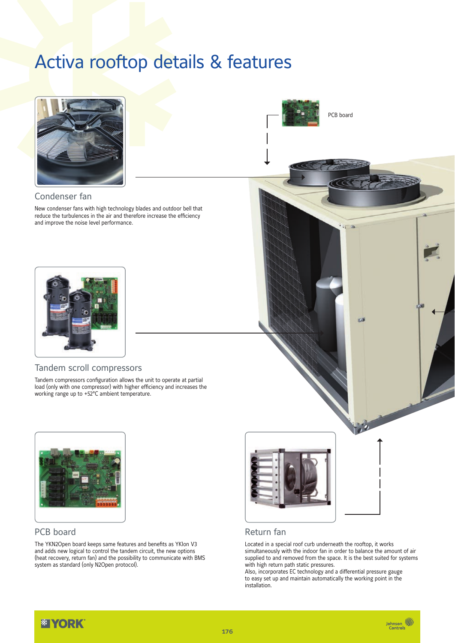# Activa rooftop details & features



#### Condenser fan

New condenser fans with high technology blades and outdoor bell that reduce the turbulences in the air and therefore increase the efficiency and improve the noise level performance.



#### Tandem scroll compressors

Tandem compressors configuration allows the unit to operate at partial load (only with one compressor) with higher efficiency and increases the working range up to +52°C ambient temperature.



### PCB board

The YKN2Open board keeps same features and benefits as YKlon V3 and adds new logical to control the tandem circuit, the new options (heat recovery, return fan) and the possibility to communicate with BMS system as standard (only N2Open protocol).



PCB board

 $\overline{16}$ 



#### Return fan

Located in a special roof curb underneath the rooftop, it works simultaneously with the indoor fan in order to balance the amount of air supplied to and removed from the space. It is the best suited for systems with high return path static pressures.

Also, incorporates EC technology and a differential pressure gauge to easy set up and maintain automatically the working point in the installation.

*<b>EXPORK* 

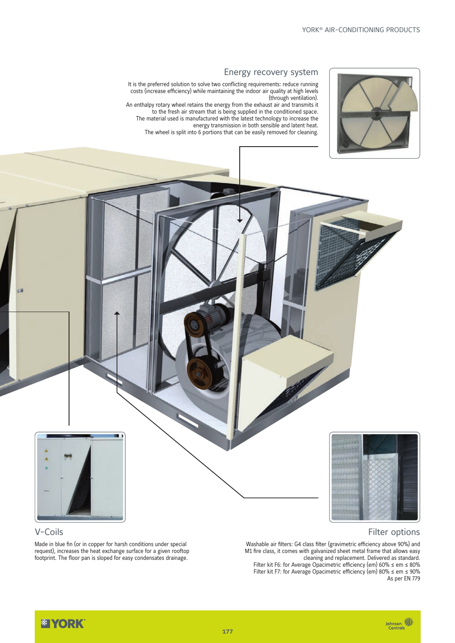

#### Energy recovery system

It is the preferred solution to solve two conflicting requirements: reduce running costs (increase efficiency) while maintaining the indoor air quality at high levels (through ventilation).

An enthalpy rotary wheel retains the energy from the exhaust air and transmits it to the fresh air stream that is being supplied in the conditioned space. The material used is manufactured with the latest technology to increase the energy transmission in both sensible and latent heat. The wheel is split into 6 portions that can be easily removed for cleaning.





# V-Coils

Made in blue fin (or in copper for harsh conditions under special request), increases the heat exchange surface for a given rooftop footprint. The floor pan is sloped for easy condensates drainage.

#### Filter options

Washable air filters: G4 class filter (gravimetric efficiency above 90%) and M1 fire class, it comes with galvanized sheet metal frame that allows easy cleaning and replacement. Delivered as standard. Filter kit F6: for Average Opacimetric efficiency (em) 60% ≤ em ≤ 80%

Filter kit F7: for Average Opacimetric efficiency (em) 80% ≤ em ≤ 90% As per EN 779

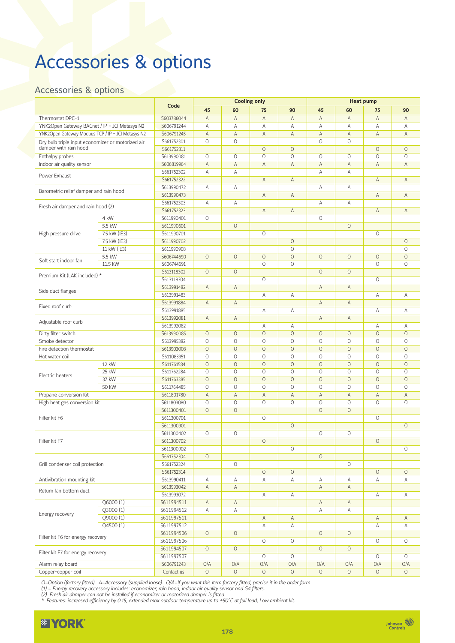# Accessories & options

### Accessories & options

|                                                                            |              | Code       | <b>Cooling only</b> |             |         |         | <b>Heat pump</b> |                     |         |             |
|----------------------------------------------------------------------------|--------------|------------|---------------------|-------------|---------|---------|------------------|---------------------|---------|-------------|
|                                                                            |              |            | 45                  | 60          | 75      | 90      | 45               | 60                  | 75      | 90          |
| Thermostat DPC-1                                                           |              | S603786044 | A                   | Α           | A       | Α       | A                | А                   | A       | Α           |
| YNK2Open Gateway BACnet / IP - JCI Metasys N2                              |              | S606791244 | A                   | А           | A       | A       | A                | A                   | A       | Α           |
| YNK2Open Gateway Modbus TCP / IP - JCI Metasys N2                          |              | S606791245 | $\mathsf{A}$        | A           | A       | А       | $\mathsf A$      | A                   | A       | A           |
| Dry bulb triple input economizer or motorized air<br>damper with rain hood |              | S661752301 | $\circ$             | $\circ$     |         |         | $\circ$          | $\circ$             |         |             |
|                                                                            |              | S661752311 |                     |             | $\circ$ | $\circ$ |                  |                     | $\circ$ | $\circ$     |
| Enthalpy probes                                                            |              | S613990081 | $\circ$             | $\circ$     | $\circ$ | $\circ$ | $\circ$          | $\circ$             | $\circ$ | $\circ$     |
| Indoor air quality sensor                                                  |              | S606819964 | $\overline{A}$      | A           | A       | Α       | $\mathsf A$      | Α                   | A       | Α           |
|                                                                            |              | S661752302 | A                   | A           |         |         | A                | A                   |         |             |
| Power Exhaust                                                              |              | S661752322 |                     |             | A       | A       |                  |                     | A       | A           |
|                                                                            |              | S613990472 | А                   | Α           |         |         | А                | A                   |         |             |
| Barometric relief damper and rain hood                                     |              | S613990473 |                     |             | A       | A       |                  |                     | A       | Α           |
|                                                                            |              | S661752303 | А                   | Α           |         |         | А                | А                   |         |             |
| Fresh air damper and rain hood (2)                                         |              | S661752323 |                     |             | A       | A       |                  |                     | Α       | A           |
|                                                                            | 4 kW         | S611990401 | $\circ$             |             |         |         | $\circ$          |                     |         |             |
|                                                                            | 5.5 kW       | S611990601 |                     | $\circ$     |         |         |                  | $\circ$             |         |             |
| High pressure drive                                                        | 7.5 kW (IE3) | S611990701 |                     |             | $\circ$ |         |                  |                     | $\circ$ |             |
|                                                                            | 7.5 kW (IE3) | S611990702 |                     |             |         | $\circ$ |                  |                     |         | $\circ$     |
|                                                                            | 11 kW (IE3)  | S611990903 |                     |             |         | $\circ$ |                  |                     |         | $\circ$     |
|                                                                            | 5.5 kW       | S606744690 | $\circ$             | $\circ$     | $\circ$ | $\circ$ | $\circ$          | $\circ$             | $\circ$ | $\circ$     |
| Soft start indoor fan                                                      | 11.5 kW      | S606744691 |                     |             | $\circ$ | $\circ$ |                  |                     | $\circ$ | $\circ$     |
|                                                                            |              | S613118302 | $\circ$             | $\circ$     |         |         | $\circ$          | $\circ$             |         |             |
| Premium Kit (LAK included) *                                               |              | S613118304 |                     |             | $\circ$ |         |                  |                     | $\circ$ |             |
|                                                                            |              | S613991482 | $\mathsf A$         | A           |         |         | A                | Α                   |         |             |
| Side duct flanges                                                          |              | S613991483 |                     |             | Α       | Α       |                  |                     | Α       | Α           |
|                                                                            |              | S613991884 | A                   | A           |         |         | A                | Α                   |         |             |
| Fixed roof curb                                                            |              | S613991885 |                     |             | А       | Α       |                  |                     | А       | Α           |
|                                                                            |              | S613992081 | $\overline{A}$      | A           |         |         | $\overline{A}$   | A                   |         |             |
| Adjustable roof curb                                                       |              | S613992082 |                     |             | А       | Α       |                  |                     | Α       | Α           |
| Dirty filter switch                                                        |              | S613990085 | $\circ$             | $\circ$     | $\circ$ | $\circ$ | $\circ$          | $\circ$             | $\circ$ | $\circ$     |
| Smoke detector                                                             |              | S613995382 | $\circ$             | $\circ$     | $\circ$ | $\circ$ | $\circ$          | $\circ$             | $\circ$ | $\circ$     |
| Fire detection thermostat                                                  |              | S613903003 | $\circ$             | $\circ$     | $\circ$ | $\circ$ | $\circ$          | $\circ$             | $\circ$ | $\circ$     |
| Hot water coil                                                             |              | S611083351 | $\circ$             | $\circ$     | $\circ$ | $\circ$ | $\circ$          | $\circ$             | $\circ$ | $\circ$     |
|                                                                            | 12 kW        | S611761584 | $\circ$             | $\circ$     | $\circ$ | $\circ$ | $\circ$          | $\circ$             | $\circ$ | $\circ$     |
|                                                                            | 25 kW        | S611762284 | $\circ$             | $\circ$     | $\circ$ | $\circ$ | $\circ$          | $\circ$             | $\circ$ | $\circ$     |
| Electric heaters                                                           | 37 kW        | S611763385 | $\circ$             | $\circ$     | $\circ$ | $\circ$ | $\circ$          | $\circ$             | $\circ$ | $\circ$     |
|                                                                            | 50 kW        | S611764485 | $\circ$             | $\circ$     | $\circ$ | $\circ$ | $\circ$          | $\circ$             | $\circ$ | $\circ$     |
| Propane conversion Kit                                                     |              | S611801780 | $\mathsf{A}$        | A           | A       | A       | A                | A                   | A       | $\mathsf A$ |
| High heat gas conversion kit                                               |              | S611803080 | $\circ$             | $\circ$     | $\circ$ | $\circ$ | $\circ$          | $\circ$             | $\circ$ | $\circ$     |
|                                                                            |              | S611300401 | $\circ$             | $\circ$     |         |         | $\circ$          | $\circ$             |         |             |
| Filter kit F6                                                              |              | S611300701 |                     |             | $\circ$ |         |                  |                     | $\circ$ |             |
|                                                                            |              | S611300901 |                     |             |         | $\circ$ |                  |                     |         | $\circ$     |
|                                                                            |              | S611300402 | $\circ$             | $\circ$     |         |         | $\circ$          | $\circ$             |         |             |
| Filter kit F7                                                              |              | S611300702 |                     |             | $\circ$ |         |                  |                     | $\circ$ |             |
|                                                                            |              | S611300902 |                     |             |         | $\circ$ |                  |                     |         | $\circ$     |
|                                                                            |              | S661752304 | $\circ$             |             |         |         | $\circ$          |                     |         |             |
| Grill condenser coil protection                                            |              | S661752324 |                     | $\circ$     |         |         |                  | $\circlearrowright$ |         |             |
|                                                                            |              | S661752314 |                     |             | $\circ$ | $\circ$ |                  |                     | $\circ$ | $\circ$     |
| Antivibration mounting kit                                                 |              | S613990411 | Α                   | Α           | Α       | Α       | Α                | Α                   | Α       | Α           |
| Return fan bottom duct                                                     |              | S613993042 | A                   | $\mathsf A$ |         |         | $\mathsf A$      | A                   |         |             |
|                                                                            |              | S613993072 |                     |             | Α       | Α       |                  |                     | Α       | Α           |
|                                                                            | Q6000(1)     | S611994511 | Α                   | Α           |         |         | Α                | Α                   |         |             |
|                                                                            | Q3000(1)     | S611994512 | Α                   | Α           |         |         | А                | Α                   |         |             |
| Energy recovery                                                            | Q9000(1)     | S611997511 |                     |             | Α       | Α       |                  |                     | Α       | Α           |
|                                                                            | Q4500(1)     | S611997512 |                     |             | Α       | Α       |                  |                     | Α       | Α           |
|                                                                            |              | S611994506 | $\circ$             | $\circ$     |         |         | $\circ$          | $\circ$             |         |             |
| Filter kit F6 for energy recovery                                          |              | S611997506 |                     |             | $\circ$ | $\circ$ |                  |                     | $\circ$ | $\circ$     |
|                                                                            |              | S611994507 | $\circ$             | $\circ$     |         |         | $\circ$          | $\circ$             |         |             |
| Filter kit F7 for energy recovery                                          |              | S611997507 |                     |             | $\circ$ | $\circ$ |                  |                     | $\circ$ | 0           |
| Alarm relay board                                                          |              | S606791243 | O/A                 | O/A         | O/A     | O/A     | O/A              | O/A                 | O/A     | O/A         |
| Copper-copper coil                                                         |              | Contact us | $\circ$             | $\circ$     | $\circ$ | $\circ$ | $\circ$          | $\circ$             | $\circ$ | $\circ$     |

*O=Option (factory fitted). A=Accessory (supplied loose). O/A=If you want this item factory fitted, precise it in the order form.* 

*(1) = Energy recovery accessory includes: economizer, rain hood, indoor air quality sensor and G4 filters.*

*(2) Fresh air damper can not be installed if economizer or motorized damper is fitted. \* Features: increased efficiency by 0.15, extended max outdoor temperature up to +50°C at full load, Low ambient kit.*